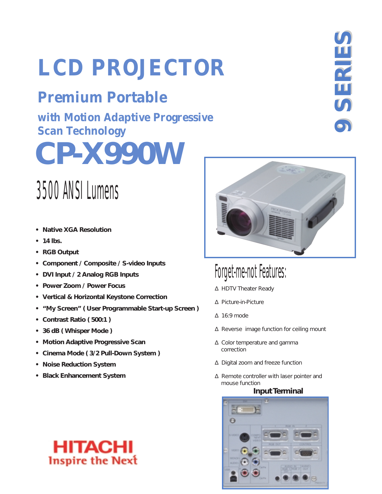# **LCD PROJECTOR**

## **Premium Portable**

**CP-X990W with Motion Adaptive Progressive Scan Technology**

## 3500 ANSI Lumens

- **Native XGA Resolution**
- **14 lbs.**
- **RGB Output**
- **Component / Composite / S-video Inputs**
- **DVI Input / 2 Analog RGB Inputs**
- **Power Zoom / Power Focus**
- **Vertical & Horizontal Keystone Correction**
- **"My Screen" ( User Programmable Start-up Screen )**
- **Contrast Ratio ( 500:1 )**
- **36 dB ( Whisper Mode )**
- **Motion Adaptive Progressive Scan**
- **Cinema Mode ( 3/2 Pull-Down System )**
- **Noise Reduction System**
- **Black Enhancement System**

HITACI

**Inspire the Next** 

## Forget-me-not Features:

- ∆ HDTV Theater Ready
- ∆ Picture-in-Picture
- ∆ 16:9 mode
- ∆ Reverse image function for ceiling mount
- ∆ Color temperature and gamma correction
- ∆ Digital zoom and freeze function
- ∆ Remote controller with laser pointer and mouse function

### **Input Terminal**